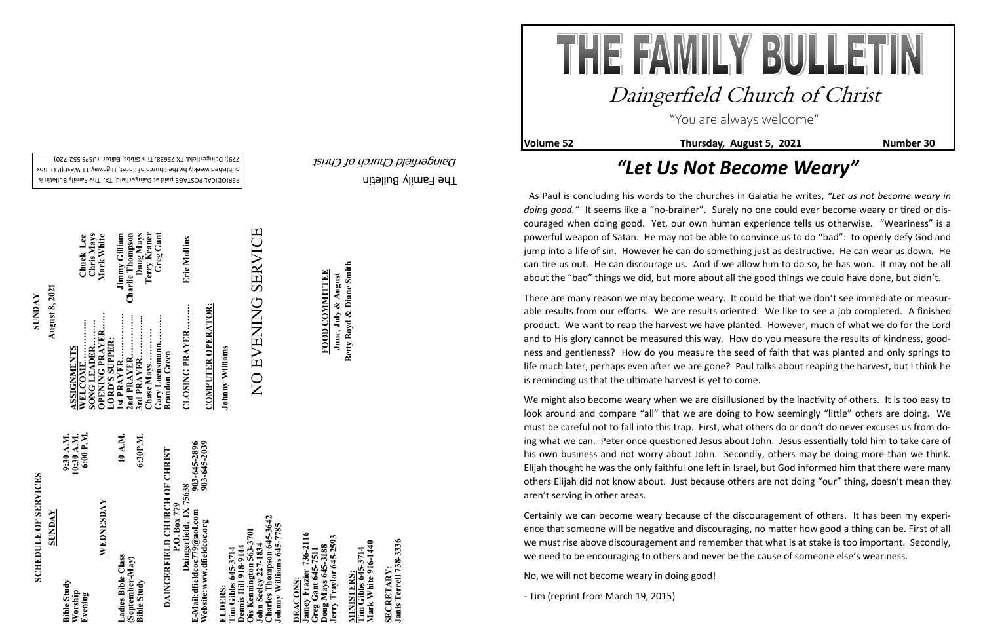The Family Bulletin Daingerfield Church of Christ

**Volume 52** Thursday, August 5, 2021 Number 30

## **SCHEDULE OF SERVICES SCHEDULE OF SERVICES**

PERIODICAL POSTAGE paid at Daingerfield, TX. The Family Bulletin is published weekly by the Church of Christ, Highway 11 West (P.O. Box 720) - 779). Daingerfield. TX 75638. Tim Gibbs, Editor. (USPS 552

## 903-645-2896<br>903-645-2039 **Website:www.dfieldcoc.org 903-645-2039 E-Mail:dfieldcoc779@aol.com 903-645-2896 DAINGERFIELD CHURCH OF CHRIST**<br> **P.O. Box 779**<br> **E.Mail:dfieldcoc779@aol.com**<br> **Website:www.dfieldcoc.org**<br> **P.O. Box 779**<br> **P.O. Box 779**<br> **P.O. Box 779**<br> **P.O. Box 779**<br> **P.O. Box 779**<br> **P.O. Box 779**<br> **P.O. Box 779**<br> **DAINGERFIELD CHURCH OF CHRIST Daingerfield, TX 75638**

**Charles Thompson 645-3642 Johnny Williams 645-7785**  Tharles Thompson 645-364<br>Ohnny Williams 645-7785 3701 **Ois Kennington 563-3701** im Gibbs 645-5714<br>ennis Hill 918-9144<br>is Kennington 563-3<br>ohn Seeley 227-1834<br>harles Thompson 64 **John Seeley 227-1834**  645-3714<br>1918-9144 **Dennis Hill 918-9144**  $0<sub>hn</sub>$ 

|  | 10:30 A.M.<br>6:00 P.M.<br>9:30 A.M.<br>10 A.M.<br>WEDNESDAY<br>Ladies Bible Class<br>(September-May)<br><b>Bible Study</b><br>Worship<br>Evening |
|--|---------------------------------------------------------------------------------------------------------------------------------------------------|
|--|---------------------------------------------------------------------------------------------------------------------------------------------------|

EACONS:<br>mey Frazier 736-2116<br>reg Gant 645-7511 **Jamey Frazier 736-2116**  oug Mays 645-3188<br>erry Traylor 645-2593 **Jerry Traylor 645-2593 Greg Gant 645-7511 Doug Mays 645-3188 DEACONS:** 

**Tim Gibbs 645-3714**<br>Mark White 916-1440 **Mark White 916-1440 Tim Gibbs 645-3714 MINISTERS:** AINISTERS

SECRETARY:<br>Janis Terrell 738-3336 **Janis Terrell 738-3336 SECRETARY:**

**ZZZ** 

**August 8, 2021 August 8, 2021 SUNDAY**

> **ELDERS: Tim Gibbs 645-3714**

**CLOSING PRAYER……… Eric Mullins**  Eric Mullins CLOSING PRAYER.........

**COMPUTER OPERATOR: COMPUTER OPERATOR:**

Johnny Williams **Johnny Williams**

# **SERVICE** NO EVENING SERVICE NO EVENING

| Chris Mays<br>Chuck Lee<br>Mark White                                     | Greg Gant<br>Terry Kraner<br><b>Charlie Thompson</b><br>Doug Mays<br>Jimmy Gilliam             |  |
|---------------------------------------------------------------------------|------------------------------------------------------------------------------------------------|--|
| OPENING PRAYER<br>ASSIGNMENTS<br>WELCOME<br>SONG LEADER<br>LORD'S SUPPER: | 1st PRAYER<br>2nd PRAYER<br>Gary Luensmann<br>3rd PRAYER<br>Chase Mays<br><b>Brandon Green</b> |  |

**FOOD COMMITTEE June, July & August Betty Boyd & Diane Smith**

**FOOD COMMITTEE** 

June, July & August<br>Betty Boyd & Diane Smith

"You are always welcome"

## Daingerfield Church of Christ

### *"Let Us Not Become Weary"*

We might also become weary when we are disillusioned by the inactivity of others. It is too easy to look around and compare "all" that we are doing to how seemingly "little" others are doing. We must be careful not to fall into this trap. First, what others do or don't do never excuses us from doing what we can. Peter once questioned Jesus about John. Jesus essentially told him to take care of his own business and not worry about John. Secondly, others may be doing more than we think. Elijah thought he was the only faithful one left in Israel, but God informed him that there were many others Elijah did not know about. Just because others are not doing "our" thing, doesn't mean they aren't serving in other areas.

 As Paul is concluding his words to the churches in Galatia he writes, *"Let us not become weary in doing good."* It seems like a "no-brainer". Surely no one could ever become weary or tired or discouraged when doing good. Yet, our own human experience tells us otherwise. "Weariness" is a powerful weapon of Satan. He may not be able to convince us to do "bad": to openly defy God and jump into a life of sin. However he can do something just as destructive. He can wear us down. He can tire us out. He can discourage us. And if we allow him to do so, he has won. It may not be all about the "bad" things we did, but more about all the good things we could have done, but didn't.

There are many reason we may become weary. It could be that we don't see immediate or measurable results from our efforts. We are results oriented. We like to see a job completed. A finished product. We want to reap the harvest we have planted. However, much of what we do for the Lord and to His glory cannot be measured this way. How do you measure the results of kindness, goodness and gentleness? How do you measure the seed of faith that was planted and only springs to life much later, perhaps even after we are gone? Paul talks about reaping the harvest, but I think he is reminding us that the ultimate harvest is yet to come.

Certainly we can become weary because of the discouragement of others. It has been my experience that someone will be negative and discouraging, no matter how good a thing can be. First of all we must rise above discouragement and remember that what is at stake is too important. Secondly, we need to be encouraging to others and never be the cause of someone else's weariness.

No, we will not become weary in doing good!

- Tim (reprint from March 19, 2015)